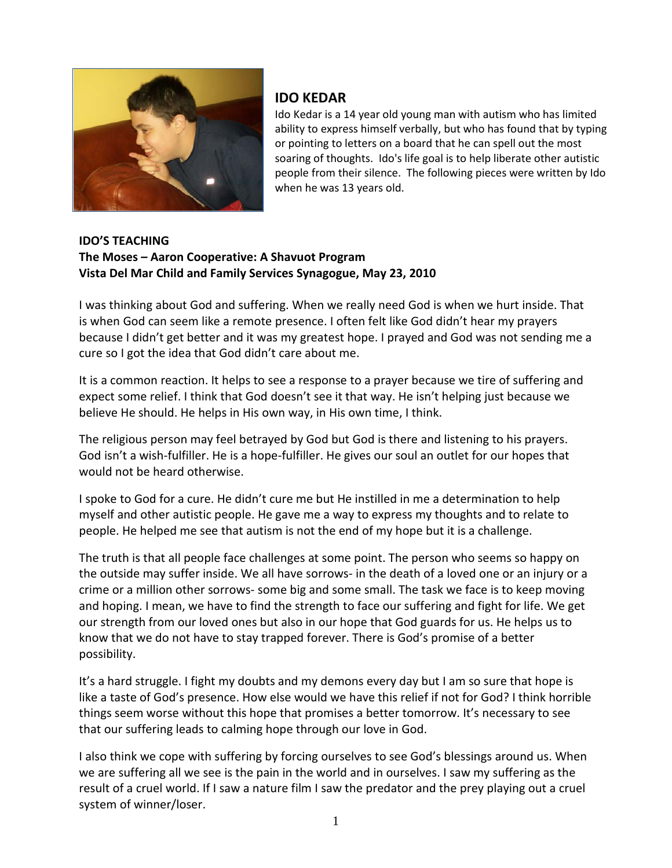

## **IDO KEDAR**

Ido Kedar is a 14 year old young man with autism who has limited ability to express himself verbally, but who has found that by typing or pointing to letters on a board that he can spell out the most soaring of thoughts. Ido's life goal is to help liberate other autistic people from their silence. The following pieces were written by Ido when he was 13 years old.

## **IDO'S TEACHING The Moses – Aaron Cooperative: A Shavuot Program Vista Del Mar Child and Family Services Synagogue, May 23, 2010**

I was thinking about God and suffering. When we really need God is when we hurt inside. That is when God can seem like a remote presence. I often felt like God didn't hear my prayers because I didn't get better and it was my greatest hope. I prayed and God was not sending me a cure so I got the idea that God didn't care about me.

It is a common reaction. It helps to see a response to a prayer because we tire of suffering and expect some relief. I think that God doesn't see it that way. He isn't helping just because we believe He should. He helps in His own way, in His own time, I think.

The religious person may feel betrayed by God but God is there and listening to his prayers. God isn't a wish-fulfiller. He is a hope-fulfiller. He gives our soul an outlet for our hopes that would not be heard otherwise.

I spoke to God for a cure. He didn't cure me but He instilled in me a determination to help myself and other autistic people. He gave me a way to express my thoughts and to relate to people. He helped me see that autism is not the end of my hope but it is a challenge.

The truth is that all people face challenges at some point. The person who seems so happy on the outside may suffer inside. We all have sorrows- in the death of a loved one or an injury or a crime or a million other sorrows- some big and some small. The task we face is to keep moving and hoping. I mean, we have to find the strength to face our suffering and fight for life. We get our strength from our loved ones but also in our hope that God guards for us. He helps us to know that we do not have to stay trapped forever. There is God's promise of a better possibility.

It's a hard struggle. I fight my doubts and my demons every day but I am so sure that hope is like a taste of God's presence. How else would we have this relief if not for God? I think horrible things seem worse without this hope that promises a better tomorrow. It's necessary to see that our suffering leads to calming hope through our love in God.

I also think we cope with suffering by forcing ourselves to see God's blessings around us. When we are suffering all we see is the pain in the world and in ourselves. I saw my suffering as the result of a cruel world. If I saw a nature film I saw the predator and the prey playing out a cruel system of winner/loser.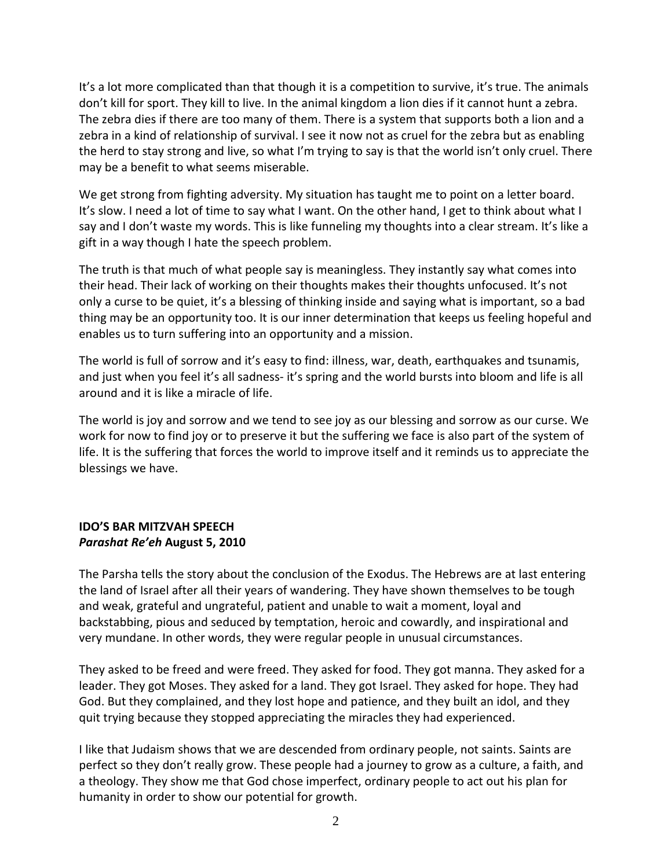It's a lot more complicated than that though it is a competition to survive, it's true. The animals don't kill for sport. They kill to live. In the animal kingdom a lion dies if it cannot hunt a zebra. The zebra dies if there are too many of them. There is a system that supports both a lion and a zebra in a kind of relationship of survival. I see it now not as cruel for the zebra but as enabling the herd to stay strong and live, so what I'm trying to say is that the world isn't only cruel. There may be a benefit to what seems miserable.

We get strong from fighting adversity. My situation has taught me to point on a letter board. It's slow. I need a lot of time to say what I want. On the other hand, I get to think about what I say and I don't waste my words. This is like funneling my thoughts into a clear stream. It's like a gift in a way though I hate the speech problem.

The truth is that much of what people say is meaningless. They instantly say what comes into their head. Their lack of working on their thoughts makes their thoughts unfocused. It's not only a curse to be quiet, it's a blessing of thinking inside and saying what is important, so a bad thing may be an opportunity too. It is our inner determination that keeps us feeling hopeful and enables us to turn suffering into an opportunity and a mission.

The world is full of sorrow and it's easy to find: illness, war, death, earthquakes and tsunamis, and just when you feel it's all sadness- it's spring and the world bursts into bloom and life is all around and it is like a miracle of life.

The world is joy and sorrow and we tend to see joy as our blessing and sorrow as our curse. We work for now to find joy or to preserve it but the suffering we face is also part of the system of life. It is the suffering that forces the world to improve itself and it reminds us to appreciate the blessings we have.

## **IDO'S BAR MITZVAH SPEECH** *Parashat Re'eh* **August 5, 2010**

The Parsha tells the story about the conclusion of the Exodus. The Hebrews are at last entering the land of Israel after all their years of wandering. They have shown themselves to be tough and weak, grateful and ungrateful, patient and unable to wait a moment, loyal and backstabbing, pious and seduced by temptation, heroic and cowardly, and inspirational and very mundane. In other words, they were regular people in unusual circumstances.

They asked to be freed and were freed. They asked for food. They got manna. They asked for a leader. They got Moses. They asked for a land. They got Israel. They asked for hope. They had God. But they complained, and they lost hope and patience, and they built an idol, and they quit trying because they stopped appreciating the miracles they had experienced.

I like that Judaism shows that we are descended from ordinary people, not saints. Saints are perfect so they don't really grow. These people had a journey to grow as a culture, a faith, and a theology. They show me that God chose imperfect, ordinary people to act out his plan for humanity in order to show our potential for growth.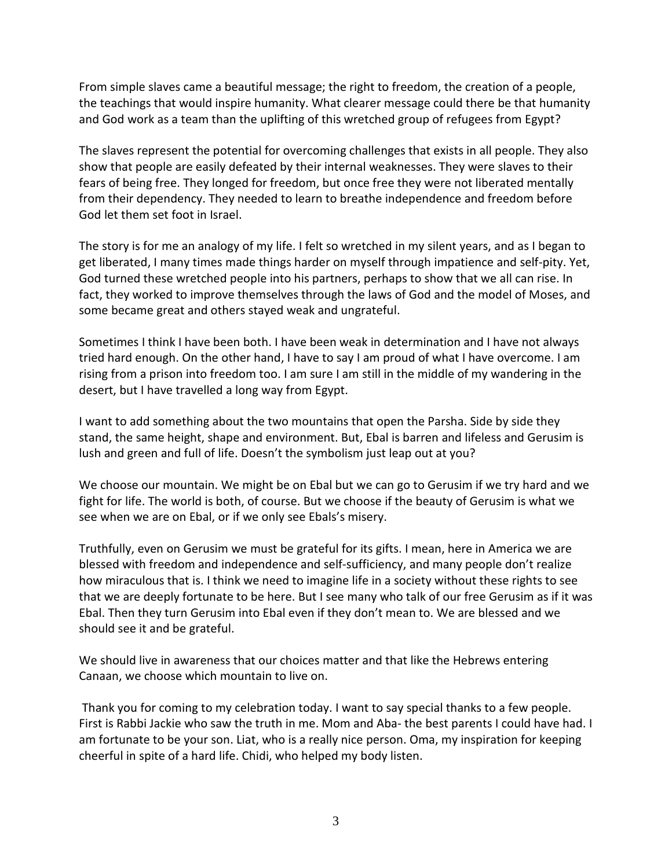From simple slaves came a beautiful message; the right to freedom, the creation of a people, the teachings that would inspire humanity. What clearer message could there be that humanity and God work as a team than the uplifting of this wretched group of refugees from Egypt?

The slaves represent the potential for overcoming challenges that exists in all people. They also show that people are easily defeated by their internal weaknesses. They were slaves to their fears of being free. They longed for freedom, but once free they were not liberated mentally from their dependency. They needed to learn to breathe independence and freedom before God let them set foot in Israel.

The story is for me an analogy of my life. I felt so wretched in my silent years, and as I began to get liberated, I many times made things harder on myself through impatience and self-pity. Yet, God turned these wretched people into his partners, perhaps to show that we all can rise. In fact, they worked to improve themselves through the laws of God and the model of Moses, and some became great and others stayed weak and ungrateful.

Sometimes I think I have been both. I have been weak in determination and I have not always tried hard enough. On the other hand, I have to say I am proud of what I have overcome. I am rising from a prison into freedom too. I am sure I am still in the middle of my wandering in the desert, but I have travelled a long way from Egypt.

I want to add something about the two mountains that open the Parsha. Side by side they stand, the same height, shape and environment. But, Ebal is barren and lifeless and Gerusim is lush and green and full of life. Doesn't the symbolism just leap out at you?

We choose our mountain. We might be on Ebal but we can go to Gerusim if we try hard and we fight for life. The world is both, of course. But we choose if the beauty of Gerusim is what we see when we are on Ebal, or if we only see Ebals's misery.

Truthfully, even on Gerusim we must be grateful for its gifts. I mean, here in America we are blessed with freedom and independence and self-sufficiency, and many people don't realize how miraculous that is. I think we need to imagine life in a society without these rights to see that we are deeply fortunate to be here. But I see many who talk of our free Gerusim as if it was Ebal. Then they turn Gerusim into Ebal even if they don't mean to. We are blessed and we should see it and be grateful.

We should live in awareness that our choices matter and that like the Hebrews entering Canaan, we choose which mountain to live on.

Thank you for coming to my celebration today. I want to say special thanks to a few people. First is Rabbi Jackie who saw the truth in me. Mom and Aba- the best parents I could have had. I am fortunate to be your son. Liat, who is a really nice person. Oma, my inspiration for keeping cheerful in spite of a hard life. Chidi, who helped my body listen.